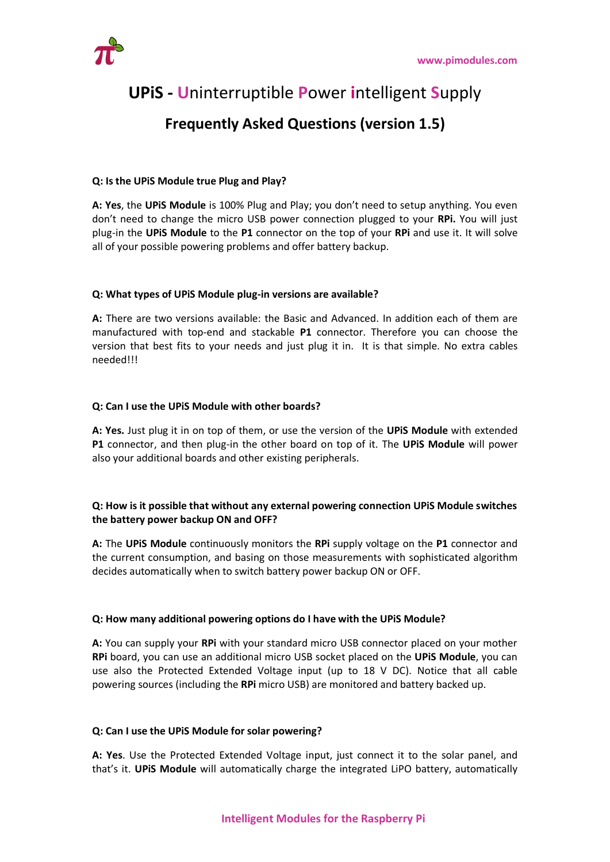

# **UPiS - U**ninterruptible **P**ower **i**ntelligent **S**upply

## **Frequently Asked Questions (version 1.5)**

### **Q: Is the UPiS Module true Plug and Play?**

**A: Yes**, the **UPiS Module** is 100% Plug and Play; you don't need to setup anything. You even don't need to change the micro USB power connection plugged to your **RPi.** You will just plug-in the **UPiS Module** to the **P1** connector on the top of your **RPi** and use it. It will solve all of your possible powering problems and offer battery backup.

#### **Q: What types of UPiS Module plug-in versions are available?**

**A:** There are two versions available: the Basic and Advanced. In addition each of them are manufactured with top-end and stackable **P1** connector. Therefore you can choose the version that best fits to your needs and just plug it in. It is that simple. No extra cables needed!!!

#### **Q: Can I use the UPiS Module with other boards?**

**A: Yes.** Just plug it in on top of them, or use the version of the **UPiS Module** with extended **P1** connector, and then plug-in the other board on top of it. The **UPiS Module** will power also your additional boards and other existing peripherals.

## **Q: How is it possible that without any external powering connection UPiS Module switches the battery power backup ON and OFF?**

**A:** The **UPiS Module** continuously monitors the **RPi** supply voltage on the **P1** connector and the current consumption, and basing on those measurements with sophisticated algorithm decides automatically when to switch battery power backup ON or OFF.

#### **Q: How many additional powering options do I have with the UPiS Module?**

**A:** You can supply your **RPi** with your standard micro USB connector placed on your mother **RPi** board, you can use an additional micro USB socket placed on the **UPiS Module**, you can use also the Protected Extended Voltage input (up to 18 V DC). Notice that all cable powering sources (including the **RPi** micro USB) are monitored and battery backed up.

#### **Q: Can I use the UPiS Module for solar powering?**

**A: Yes**. Use the Protected Extended Voltage input, just connect it to the solar panel, and that's it. **UPiS Module** will automatically charge the integrated LiPO battery, automatically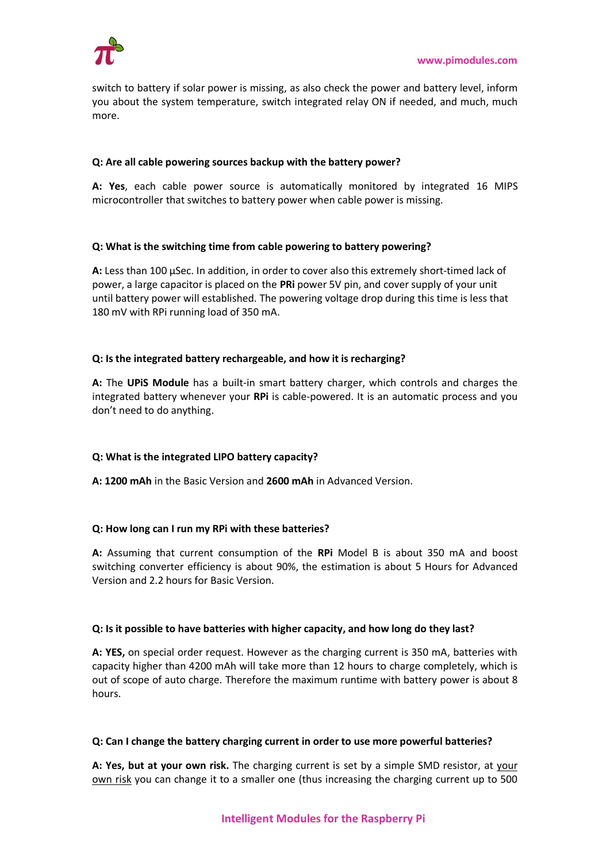

switch to battery if solar power is missing, as also check the power and battery level, inform you about the system temperature, switch integrated relay ON if needed, and much, much more.

#### **Q: Are all cable powering sources backup with the battery power?**

**A: Yes**, each cable power source is automatically monitored by integrated 16 MIPS microcontroller that switches to battery power when cable power is missing.

#### **Q: What is the switching time from cable powering to battery powering?**

**A:** Less than 100 μSec. In addition, in order to cover also this extremely short-timed lack of power, a large capacitor is placed on the **PRi** power 5V pin, and cover supply of your unit until battery power will established. The powering voltage drop during this time is less that 180 mV with RPi running load of 350 mA.

#### **Q: Is the integrated battery rechargeable, and how it is recharging?**

**A:** The **UPiS Module** has a built-in smart battery charger, which controls and charges the integrated battery whenever your **RPi** is cable-powered. It is an automatic process and you don't need to do anything.

## **Q: What is the integrated LIPO battery capacity?**

**A: 1200 mAh** in the Basic Version and **2600 mAh** in Advanced Version.

#### **Q: How long can I run my RPi with these batteries?**

**A:** Assuming that current consumption of the **RPi** Model B is about 350 mA and boost switching converter efficiency is about 90%, the estimation is about 5 Hours for Advanced Version and 2.2 hours for Basic Version.

#### **Q: Is it possible to have batteries with higher capacity, and how long do they last?**

**A: YES,** on special order request. However as the charging current is 350 mA, batteries with capacity higher than 4200 mAh will take more than 12 hours to charge completely, which is out of scope of auto charge. Therefore the maximum runtime with battery power is about 8 hours.

#### **Q: Can I change the battery charging current in order to use more powerful batteries?**

**A: Yes, but at your own risk.** The charging current is set by a simple SMD resistor, at your own risk you can change it to a smaller one (thus increasing the charging current up to 500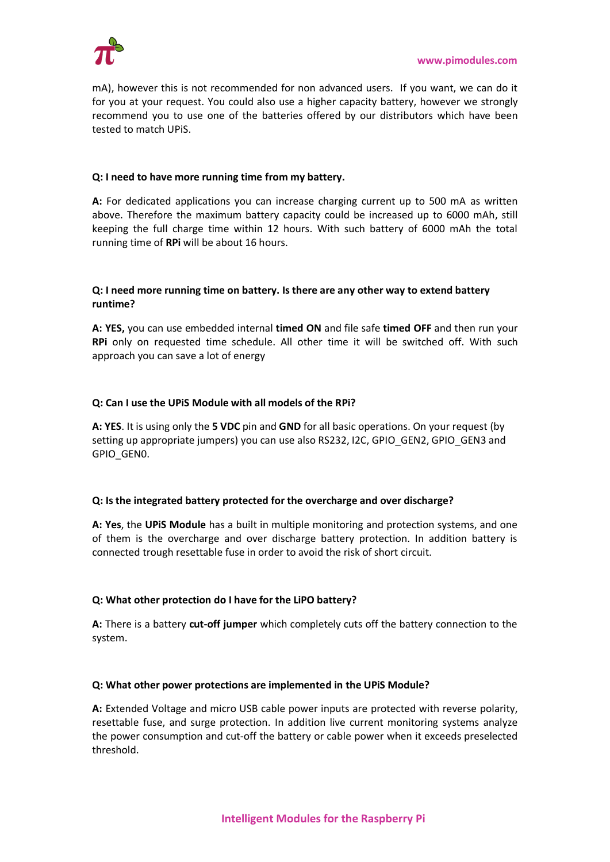

mA), however this is not recommended for non advanced users. If you want, we can do it for you at your request. You could also use a higher capacity battery, however we strongly recommend you to use one of the batteries offered by our distributors which have been tested to match UPiS.

### **Q: I need to have more running time from my battery.**

**A:** For dedicated applications you can increase charging current up to 500 mA as written above. Therefore the maximum battery capacity could be increased up to 6000 mAh, still keeping the full charge time within 12 hours. With such battery of 6000 mAh the total running time of **RPi** will be about 16 hours.

### **Q: I need more running time on battery. Is there are any other way to extend battery runtime?**

**A: YES,** you can use embedded internal **timed ON** and file safe **timed OFF** and then run your **RPi** only on requested time schedule. All other time it will be switched off. With such approach you can save a lot of energy

#### **Q: Can I use the UPiS Module with all models of the RPi?**

**A: YES**. It is using only the **5 VDC** pin and **GND** for all basic operations. On your request (by setting up appropriate jumpers) you can use also RS232, I2C, GPIO\_GEN2, GPIO\_GEN3 and GPIO\_GEN0.

#### **Q: Is the integrated battery protected for the overcharge and over discharge?**

**A: Yes**, the **UPiS Module** has a built in multiple monitoring and protection systems, and one of them is the overcharge and over discharge battery protection. In addition battery is connected trough resettable fuse in order to avoid the risk of short circuit.

## **Q: What other protection do I have for the LiPO battery?**

**A:** There is a battery **cut-off jumper** which completely cuts off the battery connection to the system.

#### **Q: What other power protections are implemented in the UPiS Module?**

**A:** Extended Voltage and micro USB cable power inputs are protected with reverse polarity, resettable fuse, and surge protection. In addition live current monitoring systems analyze the power consumption and cut-off the battery or cable power when it exceeds preselected threshold.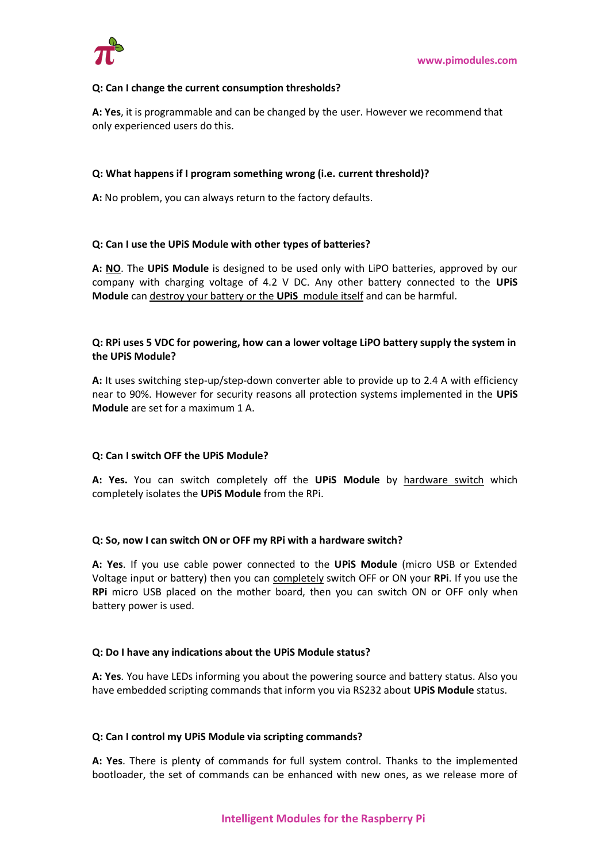

#### **Q: Can I change the current consumption thresholds?**

**A: Yes**, it is programmable and can be changed by the user. However we recommend that only experienced users do this.

#### **Q: What happens if I program something wrong (i.e. current threshold)?**

**A:** No problem, you can always return to the factory defaults.

#### **Q: Can I use the UPiS Module with other types of batteries?**

**A: NO**. The **UPiS Module** is designed to be used only with LiPO batteries, approved by our company with charging voltage of 4.2 V DC. Any other battery connected to the **UPiS Module** can destroy your battery or the **UPiS** module itself and can be harmful.

#### **Q: RPi uses 5 VDC for powering, how can a lower voltage LiPO battery supply the system in the UPiS Module?**

**A:** It uses switching step-up/step-down converter able to provide up to 2.4 A with efficiency near to 90%. However for security reasons all protection systems implemented in the **UPiS Module** are set for a maximum 1 A.

#### **Q: Can I switch OFF the UPiS Module?**

**A: Yes.** You can switch completely off the **UPiS Module** by hardware switch which completely isolates the **UPiS Module** from the RPi.

#### **Q: So, now I can switch ON or OFF my RPi with a hardware switch?**

**A: Yes**. If you use cable power connected to the **UPiS Module** (micro USB or Extended Voltage input or battery) then you can completely switch OFF or ON your **RPi**. If you use the **RPi** micro USB placed on the mother board, then you can switch ON or OFF only when battery power is used.

#### **Q: Do I have any indications about the UPiS Module status?**

**A: Yes**. You have LEDs informing you about the powering source and battery status. Also you have embedded scripting commands that inform you via RS232 about **UPiS Module** status.

#### **Q: Can I control my UPiS Module via scripting commands?**

**A: Yes**. There is plenty of commands for full system control. Thanks to the implemented bootloader, the set of commands can be enhanced with new ones, as we release more of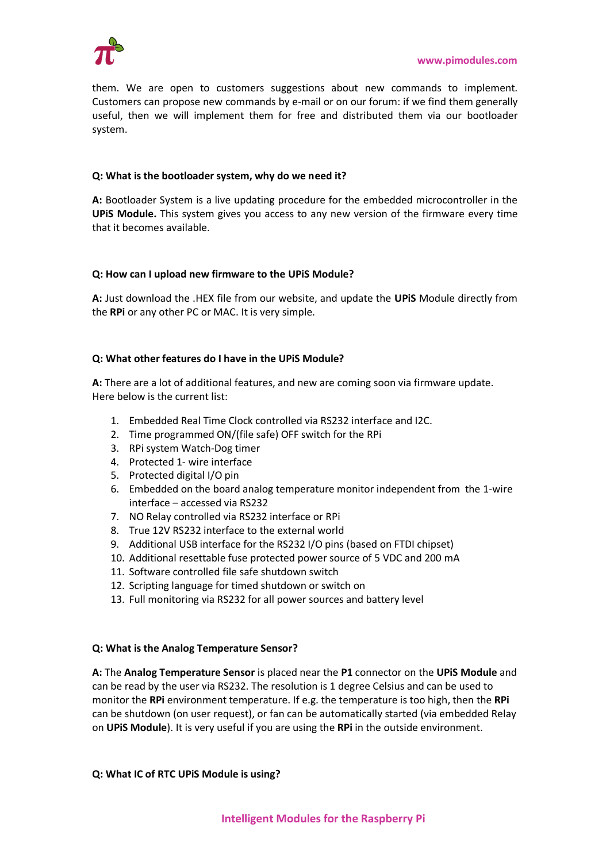

them. We are open to customers suggestions about new commands to implement. Customers can propose new commands by e-mail or on our forum: if we find them generally useful, then we will implement them for free and distributed them via our bootloader system.

#### **Q: What is the bootloader system, why do we need it?**

**A:** Bootloader System is a live updating procedure for the embedded microcontroller in the **UPiS Module.** This system gives you access to any new version of the firmware every time that it becomes available.

#### **Q: How can I upload new firmware to the UPiS Module?**

**A:** Just download the .HEX file from our website, and update the **UPiS** Module directly from the **RPi** or any other PC or MAC. It is very simple.

#### **Q: What other features do I have in the UPiS Module?**

**A:** There are a lot of additional features, and new are coming soon via firmware update. Here below is the current list:

- 1. Embedded Real Time Clock controlled via RS232 interface and I2C.
- 2. Time programmed ON/(file safe) OFF switch for the RPi
- 3. RPi system Watch-Dog timer
- 4. Protected 1- wire interface
- 5. Protected digital I/O pin
- 6. Embedded on the board analog temperature monitor independent from the 1-wire interface – accessed via RS232
- 7. NO Relay controlled via RS232 interface or RPi
- 8. True 12V RS232 interface to the external world
- 9. Additional USB interface for the RS232 I/O pins (based on FTDI chipset)
- 10. Additional resettable fuse protected power source of 5 VDC and 200 mA
- 11. Software controlled file safe shutdown switch
- 12. Scripting language for timed shutdown or switch on
- 13. Full monitoring via RS232 for all power sources and battery level

#### **Q: What is the Analog Temperature Sensor?**

**A:** The **Analog Temperature Sensor** is placed near the **P1** connector on the **UPiS Module** and can be read by the user via RS232. The resolution is 1 degree Celsius and can be used to monitor the **RPi** environment temperature. If e.g. the temperature is too high, then the **RPi** can be shutdown (on user request), or fan can be automatically started (via embedded Relay on **UPiS Module**). It is very useful if you are using the **RPi** in the outside environment.

#### **Q: What IC of RTC UPiS Module is using?**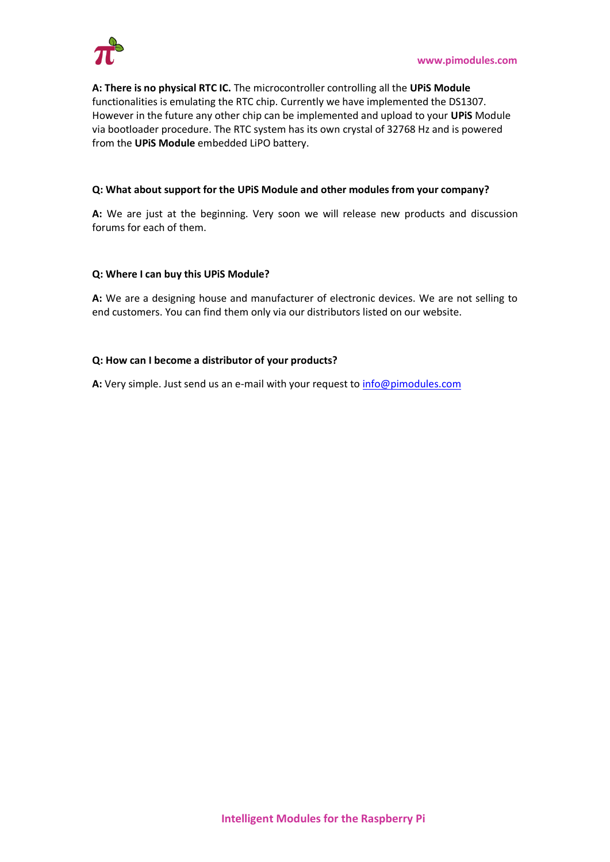

**A: There is no physical RTC IC.** The microcontroller controlling all the **UPiS Module** functionalities is emulating the RTC chip. Currently we have implemented the DS1307. However in the future any other chip can be implemented and upload to your **UPiS** Module via bootloader procedure. The RTC system has its own crystal of 32768 Hz and is powered from the **UPiS Module** embedded LiPO battery.

#### **Q: What about support for the UPiS Module and other modules from your company?**

**A:** We are just at the beginning. Very soon we will release new products and discussion forums for each of them.

#### **Q: Where I can buy this UPiS Module?**

**A:** We are a designing house and manufacturer of electronic devices. We are not selling to end customers. You can find them only via our distributors listed on our website.

#### **Q: How can I become a distributor of your products?**

**A:** Very simple. Just send us an e-mail with your request to [info@pimodules.com](mailto:info@pimodules.com)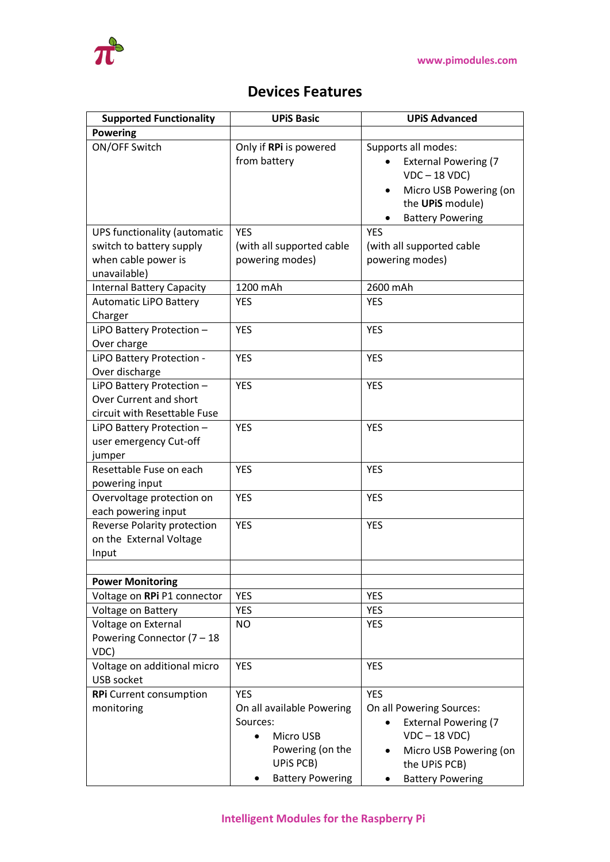

## **Devices Features**

| <b>Supported Functionality</b>      | <b>UPIS Basic</b>         | <b>UPiS Advanced</b>                     |
|-------------------------------------|---------------------------|------------------------------------------|
| <b>Powering</b>                     |                           |                                          |
| ON/OFF Switch                       | Only if RPi is powered    | Supports all modes:                      |
|                                     | from battery              | <b>External Powering (7</b>              |
|                                     |                           | $VDC - 18 VDC$                           |
|                                     |                           | Micro USB Powering (on<br>$\bullet$      |
|                                     |                           | the UPIS module)                         |
|                                     |                           | <b>Battery Powering</b>                  |
| <b>UPS functionality (automatic</b> | <b>YES</b>                | <b>YES</b>                               |
| switch to battery supply            | (with all supported cable | (with all supported cable                |
| when cable power is                 | powering modes)           | powering modes)                          |
| unavailable)                        |                           |                                          |
| <b>Internal Battery Capacity</b>    | 1200 mAh                  | 2600 mAh                                 |
| <b>Automatic LiPO Battery</b>       | <b>YES</b>                | <b>YES</b>                               |
| Charger                             |                           |                                          |
| LiPO Battery Protection -           | <b>YES</b>                | <b>YES</b>                               |
| Over charge                         |                           |                                          |
| LiPO Battery Protection -           | <b>YES</b>                | <b>YES</b>                               |
| Over discharge                      |                           |                                          |
| LiPO Battery Protection -           | <b>YES</b>                | <b>YES</b>                               |
| Over Current and short              |                           |                                          |
| circuit with Resettable Fuse        |                           |                                          |
| LiPO Battery Protection -           | <b>YES</b>                | <b>YES</b>                               |
| user emergency Cut-off              |                           |                                          |
| jumper                              |                           |                                          |
| Resettable Fuse on each             | <b>YES</b>                | <b>YES</b>                               |
| powering input                      |                           |                                          |
| Overvoltage protection on           | <b>YES</b>                | <b>YES</b>                               |
| each powering input                 |                           |                                          |
| <b>Reverse Polarity protection</b>  | <b>YES</b>                | <b>YES</b>                               |
| on the External Voltage             |                           |                                          |
| Input                               |                           |                                          |
|                                     |                           |                                          |
| <b>Power Monitoring</b>             |                           |                                          |
| Voltage on RPi P1 connector         | <b>YES</b>                | <b>YES</b>                               |
| Voltage on Battery                  | YES                       | <b>YES</b>                               |
| Voltage on External                 | <b>NO</b>                 | <b>YES</b>                               |
| Powering Connector (7 - 18<br>VDC)  |                           |                                          |
| Voltage on additional micro         | <b>YES</b>                | <b>YES</b>                               |
| <b>USB socket</b>                   |                           |                                          |
| <b>RPi</b> Current consumption      | <b>YES</b>                | <b>YES</b>                               |
| monitoring                          | On all available Powering | On all Powering Sources:                 |
|                                     | Sources:                  | <b>External Powering (7</b><br>$\bullet$ |
|                                     | Micro USB                 | $VDC - 18 VDC$                           |
|                                     | Powering (on the          | Micro USB Powering (on                   |
|                                     | UPIS PCB)                 | the UPIS PCB)                            |
|                                     | <b>Battery Powering</b>   | <b>Battery Powering</b>                  |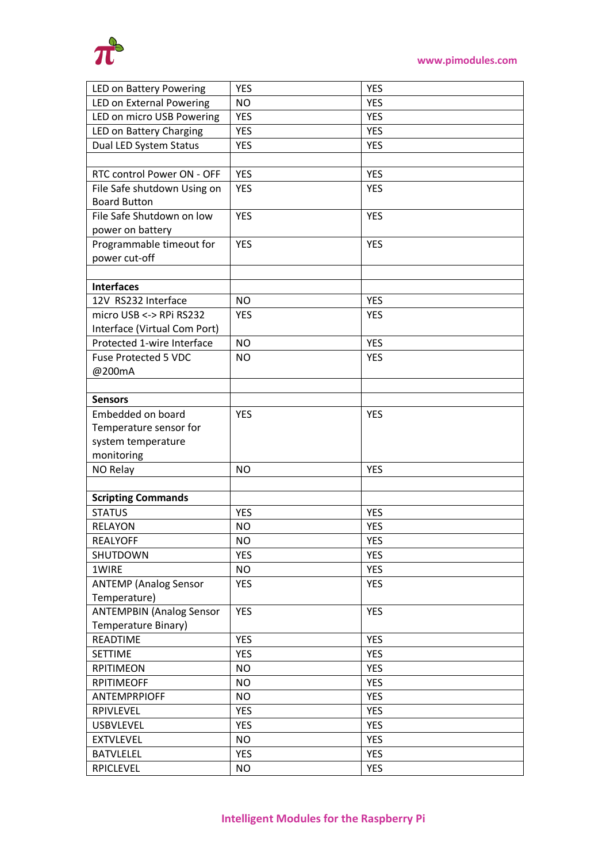

| <b>LED on Battery Powering</b>  | <b>YES</b> | <b>YES</b> |
|---------------------------------|------------|------------|
| LED on External Powering        | <b>NO</b>  | <b>YES</b> |
| LED on micro USB Powering       | <b>YES</b> | <b>YES</b> |
| LED on Battery Charging         | <b>YES</b> | <b>YES</b> |
| Dual LED System Status          | <b>YES</b> | <b>YES</b> |
|                                 |            |            |
| RTC control Power ON - OFF      | <b>YES</b> | <b>YES</b> |
| File Safe shutdown Using on     | <b>YES</b> | <b>YES</b> |
| <b>Board Button</b>             |            |            |
| File Safe Shutdown on low       | <b>YES</b> | <b>YES</b> |
| power on battery                |            |            |
| Programmable timeout for        | <b>YES</b> | <b>YES</b> |
| power cut-off                   |            |            |
|                                 |            |            |
| <b>Interfaces</b>               |            |            |
| 12V RS232 Interface             | <b>NO</b>  | <b>YES</b> |
| micro USB <-> RPi RS232         | <b>YES</b> | <b>YES</b> |
| Interface (Virtual Com Port)    |            |            |
| Protected 1-wire Interface      | <b>NO</b>  | <b>YES</b> |
| Fuse Protected 5 VDC            | <b>NO</b>  | <b>YES</b> |
| @200mA                          |            |            |
|                                 |            |            |
| <b>Sensors</b>                  |            |            |
| Embedded on board               | <b>YES</b> | <b>YES</b> |
| Temperature sensor for          |            |            |
| system temperature              |            |            |
| monitoring                      |            |            |
| NO Relay                        | <b>NO</b>  | <b>YES</b> |
|                                 |            |            |
| <b>Scripting Commands</b>       |            |            |
| <b>STATUS</b>                   | <b>YES</b> | <b>YES</b> |
| <b>RELAYON</b>                  | <b>NO</b>  | <b>YES</b> |
| <b>REALYOFF</b>                 | <b>NO</b>  | <b>YES</b> |
| SHUTDOWN                        | <b>YES</b> | <b>YES</b> |
| 1WIRE                           | <b>NO</b>  | <b>YES</b> |
| <b>ANTEMP (Analog Sensor</b>    | <b>YES</b> | <b>YES</b> |
| Temperature)                    |            |            |
| <b>ANTEMPBIN (Analog Sensor</b> | <b>YES</b> | <b>YES</b> |
| Temperature Binary)             |            |            |
| <b>READTIME</b>                 | <b>YES</b> | <b>YES</b> |
| <b>SETTIME</b>                  | <b>YES</b> | <b>YES</b> |
| <b>RPITIMEON</b>                | <b>NO</b>  | <b>YES</b> |
| <b>RPITIMEOFF</b>               | <b>NO</b>  | <b>YES</b> |
| <b>ANTEMPRPIOFF</b>             | <b>NO</b>  | <b>YES</b> |
| RPIVLEVEL                       | <b>YES</b> | <b>YES</b> |
| <b>USBVLEVEL</b>                | YES        | <b>YES</b> |
| <b>EXTVLEVEL</b>                | <b>NO</b>  | <b>YES</b> |
| <b>BATVLELEL</b>                | <b>YES</b> | <b>YES</b> |
| <b>RPICLEVEL</b>                | <b>NO</b>  | <b>YES</b> |